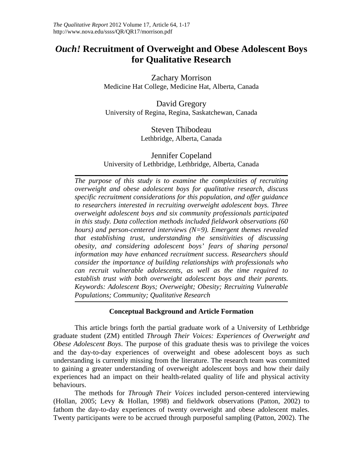# *Ouch!* **Recruitment of Overweight and Obese Adolescent Boys for Qualitative Research**

Zachary Morrison Medicine Hat College, Medicine Hat, Alberta, Canada

David Gregory University of Regina, Regina, Saskatchewan, Canada

> Steven Thibodeau Lethbridge, Alberta, Canada

Jennifer Copeland University of Lethbridge, Lethbridge, Alberta, Canada

*The purpose of this study is to examine the complexities of recruiting overweight and obese adolescent boys for qualitative research, discuss specific recruitment considerations for this population, and offer guidance to researchers interested in recruiting overweight adolescent boys. Three overweight adolescent boys and six community professionals participated in this study. Data collection methods included fieldwork observations (60 hours) and person-centered interviews (N=9). Emergent themes revealed that establishing trust, understanding the sensitivities of discussing obesity, and considering adolescent boys' fears of sharing personal information may have enhanced recruitment success. Researchers should consider the importance of building relationships with professionals who can recruit vulnerable adolescents, as well as the time required to establish trust with both overweight adolescent boys and their parents. Keywords: Adolescent Boys; Overweight; Obesity; Recruiting Vulnerable Populations; Community; Qualitative Research*

# **Conceptual Background and Article Formation**

This article brings forth the partial graduate work of a University of Lethbridge graduate student (ZM) entitled *Through Their Voices: Experiences of Overweight and Obese Adolescent Boys*. The purpose of this graduate thesis was to privilege the voices and the day-to-day experiences of overweight and obese adolescent boys as such understanding is currently missing from the literature. The research team was committed to gaining a greater understanding of overweight adolescent boys and how their daily experiences had an impact on their health-related quality of life and physical activity behaviours.

The methods for *Through Their Voices* included person-centered interviewing (Hollan, 2005; Levy & Hollan, 1998) and fieldwork observations (Patton, 2002) to fathom the day-to-day experiences of twenty overweight and obese adolescent males. Twenty participants were to be accrued through purposeful sampling (Patton, 2002). The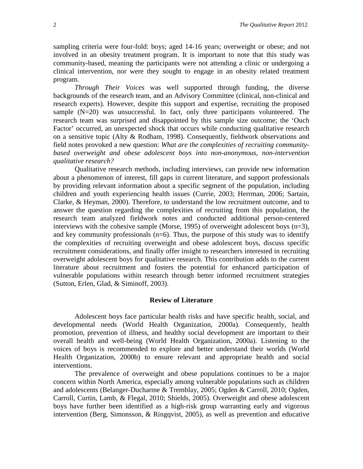sampling criteria were four-fold: boys; aged 14-16 years; overweight or obese; and not involved in an obesity treatment program. It is important to note that this study was community-based, meaning the participants were not attending a clinic or undergoing a clinical intervention, nor were they sought to engage in an obesity related treatment program.

*Through Their Voices* was well supported through funding, the diverse backgrounds of the research team, and an Advisory Committee (clinical, non-clinical and research experts). However, despite this support and expertise, recruiting the proposed sample (N=20) was unsuccessful. In fact, only three participants volunteered. The research team was surprised and disappointed by this sample size outcome; the 'Ouch Factor' occurred, an unexpected shock that occurs while conducting qualitative research on a sensitive topic (Alty & Rodham, 1998). Consequently, fieldwork observations and field notes provoked a new question: *What are the complexities of recruiting communitybased overweight and obese adolescent boys into non-anonymous, non-intervention qualitative research?*

Qualitative research methods, including interviews, can provide new information about a phenomenon of interest, fill gaps in current literature, and support professionals by providing relevant information about a specific segment of the population, including children and youth experiencing health issues (Currie, 2003; Herrman, 2006; Sartain, Clarke, & Heyman, 2000). Therefore, to understand the low recruitment outcome, and to answer the question regarding the complexities of recruiting from this population, the research team analyzed fieldwork notes and conducted additional person-centered interviews with the cohesive sample (Morse, 1995) of overweight adolescent boys (n=3), and key community professionals  $(n=6)$ . Thus, the purpose of this study was to identify the complexities of recruiting overweight and obese adolescent boys, discuss specific recruitment considerations, and finally offer insight to researchers interested in recruiting overweight adolescent boys for qualitative research. This contribution adds to the current literature about recruitment and fosters the potential for enhanced participation of vulnerable populations within research through better informed recruitment strategies (Sutton, Erlen, Glad, & Siminoff, 2003).

## **Review of Literature**

Adolescent boys face particular health risks and have specific health, social, and developmental needs (World Health Organization, 2000a). Consequently, health promotion, prevention of illness, and healthy social development are important to their overall health and well-being (World Health Organization, 2000a). Listening to the voices of boys is recommended to explore and better understand their worlds (World Health Organization, 2000b) to ensure relevant and appropriate health and social interventions.

The prevalence of overweight and obese populations continues to be a major concern within North America, especially among vulnerable populations such as children and adolescents (Belanger-Ducharme & Tremblay, 2005; Ogden & Carroll, 2010; Ogden, Carroll, Curtin, Lamb, & Flegal, 2010; Shields, 2005). Overweight and obese adolescent boys have further been identified as a high-risk group warranting early and vigorous intervention (Berg, Simonsson, & Ringqvist, 2005), as well as prevention and educative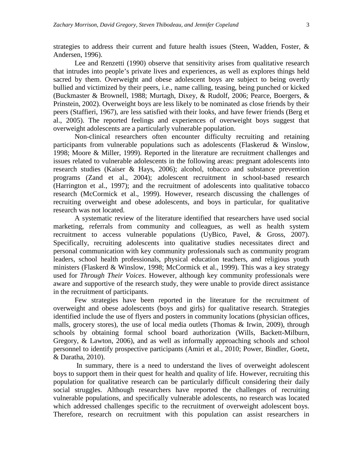strategies to address their current and future health issues (Steen, Wadden, Foster, & Andersen, 1996).

Lee and Renzetti (1990) observe that sensitivity arises from qualitative research that intrudes into people's private lives and experiences, as well as explores things held sacred by them. Overweight and obese adolescent boys are subject to being overtly bullied and victimized by their peers, i.e., name calling, teasing, being punched or kicked (Buckmaster & Brownell, 1988; Murtagh, Dixey, & Rudolf, 2006; Pearce, Boergers, & Prinstein, 2002). Overweight boys are less likely to be nominated as close friends by their peers (Staffieri, 1967), are less satisfied with their looks, and have fewer friends (Berg et al., 2005). The reported feelings and experiences of overweight boys suggest that overweight adolescents are a particularly vulnerable population.

Non-clinical researchers often encounter difficulty recruiting and retaining participants from vulnerable populations such as adolescents (Flaskerud & Winslow, 1998; Moore & Miller, 1999). Reported in the literature are recruitment challenges and issues related to vulnerable adolescents in the following areas: pregnant adolescents into research studies (Kaiser & Hays, 2006); alcohol, tobacco and substance prevention programs (Zand et al., 2004); adolescent recruitment in school-based research (Harrington et al., 1997); and the recruitment of adolescents into qualitative tobacco research (McCormick et al., 1999). However, research discussing the challenges of recruiting overweight and obese adolescents, and boys in particular, for qualitative research was not located.

A systematic review of the literature identified that researchers have used social marketing, referrals from community and colleagues, as well as health system recruitment to access vulnerable populations (UyBico, Pavel, & Gross, 2007). Specifically, recruiting adolescents into qualitative studies necessitates direct and personal communication with key community professionals such as community program leaders, school health professionals, physical education teachers, and religious youth ministers (Flaskerd & Winslow, 1998; McCormick et al., 1999). This was a key strategy used for *Through Their Voices*. However, although key community professionals were aware and supportive of the research study, they were unable to provide direct assistance in the recruitment of participants.

Few strategies have been reported in the literature for the recruitment of overweight and obese adolescents (boys and girls) for qualitative research. Strategies identified include the use of flyers and posters in community locations (physician offices, malls, grocery stores), the use of local media outlets (Thomas  $\&$  Irwin, 2009), through schools by obtaining formal school board authorization (Wills, Backett-Milburn, Gregory, & Lawton, 2006), and as well as informally approaching schools and school personnel to identify prospective participants (Amiri et al., 2010; Power, Bindler, Goetz, & Daratha, 2010).

In summary, there is a need to understand the lives of overweight adolescent boys to support them in their quest for health and quality of life. However, recruiting this population for qualitative research can be particularly difficult considering their daily social struggles. Although researchers have reported the challenges of recruiting vulnerable populations, and specifically vulnerable adolescents, no research was located which addressed challenges specific to the recruitment of overweight adolescent boys. Therefore, research on recruitment with this population can assist researchers in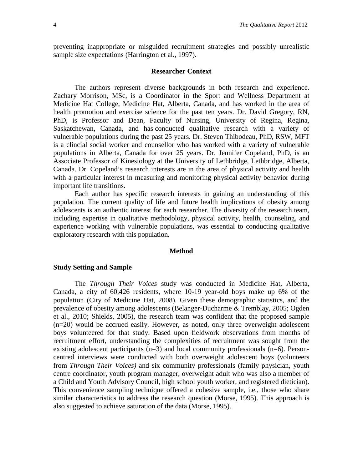preventing inappropriate or misguided recruitment strategies and possibly unrealistic sample size expectations (Harrington et al., 1997).

### **Researcher Context**

The authors represent diverse backgrounds in both research and experience. Zachary Morrison, MSc, is a Coordinator in the Sport and Wellness Department at Medicine Hat College, Medicine Hat, Alberta, Canada, and has worked in the area of health promotion and exercise science for the past ten years. Dr. David Gregory, RN, PhD, is Professor and Dean, Faculty of Nursing, University of Regina, Regina, Saskatchewan, Canada, and has conducted qualitative research with a variety of vulnerable populations during the past 25 years. Dr. Steven Thibodeau, PhD, RSW, MFT is a clincial social worker and counsellor who has worked with a variety of vulnerable populations in Alberta, Canada for over 25 years. Dr. Jennifer Copeland, PhD, is an Associate Professor of Kinesiology at the University of Lethbridge, Lethbridge, Alberta, Canada. Dr. Copeland's research interests are in the area of physical activity and health with a particular interest in measuring and monitoring physical activity behavior during important life transitions.

Each author has specific research interests in gaining an understanding of this population. The current quality of life and future health implications of obesity among adolescents is an authentic interest for each researcher. The diversity of the research team, including expertise in qualitative methodology, physical activity, health, counseling, and experience working with vulnerable populations, was essential to conducting qualitative exploratory research with this population.

#### **Method**

#### **Study Setting and Sample**

The *Through Their Voices* study was conducted in Medicine Hat, Alberta, Canada, a city of 60,426 residents, where 10-19 year-old boys make up 6% of the population (City of Medicine Hat, 2008). Given these demographic statistics, and the prevalence of obesity among adolescents (Belanger-Ducharme & Tremblay, 2005; Ogden et al., 2010; Shields, 2005), the research team was confident that the proposed sample (n=20) would be accrued easily. However, as noted, only three overweight adolescent boys volunteered for that study. Based upon fieldwork observations from months of recruitment effort, understanding the complexities of recruitment was sought from the existing adolescent participants  $(n=3)$  and local community professionals  $(n=6)$ . Personcentred interviews were conducted with both overweight adolescent boys (volunteers from *Through Their Voices)* and six community professionals (family physician, youth centre coordinator, youth program manager, overweight adult who was also a member of a Child and Youth Advisory Council, high school youth worker, and registered dietician). This convenience sampling technique offered a cohesive sample, i.e., those who share similar characteristics to address the research question (Morse, 1995). This approach is also suggested to achieve saturation of the data (Morse, 1995).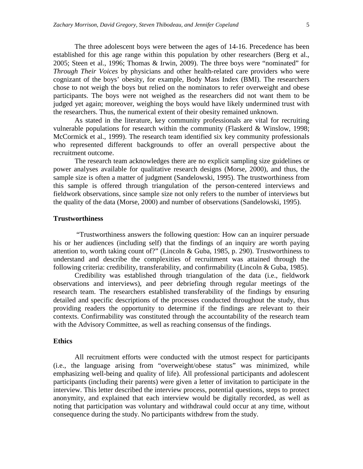The three adolescent boys were between the ages of 14-16. Precedence has been established for this age range within this population by other researchers (Berg et al., 2005; Steen et al., 1996; Thomas & Irwin, 2009). The three boys were "nominated" for *Through Their Voices* by physicians and other health-related care providers who were cognizant of the boys' obesity, for example, Body Mass Index (BMI). The researchers chose to not weigh the boys but relied on the nominators to refer overweight and obese participants. The boys were not weighed as the researchers did not want them to be judged yet again; moreover, weighing the boys would have likely undermined trust with the researchers. Thus, the numerical extent of their obesity remained unknown.

As stated in the literature, key community professionals are vital for recruiting vulnerable populations for research within the community (Flaskerd & Winslow, 1998; McCormick et al., 1999). The research team identified six key community professionals who represented different backgrounds to offer an overall perspective about the recruitment outcome.

The research team acknowledges there are no explicit sampling size guidelines or power analyses available for qualitative research designs (Morse, 2000), and thus, the sample size is often a matter of judgment (Sandelowski, 1995). The trustworthiness from this sample is offered through triangulation of the person-centered interviews and fieldwork observations, since sample size not only refers to the number of interviews but the quality of the data (Morse, 2000) and number of observations (Sandelowski, 1995).

# **Trustworthiness**

"Trustworthiness answers the following question: How can an inquirer persuade his or her audiences (including self) that the findings of an inquiry are worth paying attention to, worth taking count of?" (Lincoln & Guba, 1985, p. 290). Trustworthiness to understand and describe the complexities of recruitment was attained through the following criteria: credibility, transferability, and confirmability (Lincoln & Guba, 1985).

Credibility was established through triangulation of the data (i.e., fieldwork observations and interviews), and peer debriefing through regular meetings of the research team. The researchers established transferability of the findings by ensuring detailed and specific descriptions of the processes conducted throughout the study, thus providing readers the opportunity to determine if the findings are relevant to their contexts. Confirmability was constituted through the accountability of the research team with the Advisory Committee, as well as reaching consensus of the findings.

#### **Ethics**

All recruitment efforts were conducted with the utmost respect for participants (i.e., the language arising from "overweight/obese status" was minimized, while emphasizing well-being and quality of life). All professional participants and adolescent participants (including their parents) were given a letter of invitation to participate in the interview. This letter described the interview process, potential questions, steps to protect anonymity, and explained that each interview would be digitally recorded, as well as noting that participation was voluntary and withdrawal could occur at any time, without consequence during the study. No participants withdrew from the study.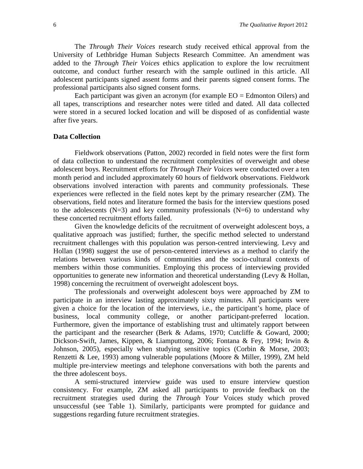The *Through Their Voices* research study received ethical approval from the University of Lethbridge Human Subjects Research Committee. An amendment was added to the *Through Their Voices* ethics application to explore the low recruitment outcome, and conduct further research with the sample outlined in this article. All adolescent participants signed assent forms and their parents signed consent forms. The professional participants also signed consent forms.

Each participant was given an acronym (for example  $EO = Edm$  onton Oilers) and all tapes, transcriptions and researcher notes were titled and dated. All data collected were stored in a secured locked location and will be disposed of as confidential waste after five years.

# **Data Collection**

Fieldwork observations (Patton, 2002) recorded in field notes were the first form of data collection to understand the recruitment complexities of overweight and obese adolescent boys. Recruitment efforts for *Through Their Voices* were conducted over a ten month period and included approximately 60 hours of fieldwork observations. Fieldwork observations involved interaction with parents and community professionals. These experiences were reflected in the field notes kept by the primary researcher (ZM). The observations, field notes and literature formed the basis for the interview questions posed to the adolescents  $(N=3)$  and key community professionals  $(N=6)$  to understand why these concerted recruitment efforts failed.

Given the knowledge deficits of the recruitment of overweight adolescent boys, a qualitative approach was justified; further, the specific method selected to understand recruitment challenges with this population was person-centred interviewing. Levy and Hollan (1998) suggest the use of person-centered interviews as a method to clarify the relations between various kinds of communities and the socio-cultural contexts of members within those communities. Employing this process of interviewing provided opportunities to generate new information and theoretical understanding (Levy & Hollan, 1998) concerning the recruitment of overweight adolescent boys.

The professionals and overweight adolescent boys were approached by ZM to participate in an interview lasting approximately sixty minutes. All participants were given a choice for the location of the interviews, i.e., the participant's home, place of business, local community college, or another participant-preferred location. Furthermore, given the importance of establishing trust and ultimately rapport between the participant and the researcher (Berk & Adams, 1970; Cutcliffe & Goward, 2000; Dickson-Swift, James, Kippen, & Liamputtong, 2006; Fontana & Fey, 1994; Irwin & Johnson, 2005), especially when studying sensitive topics (Corbin & Morse, 2003; Renzetti & Lee, 1993) among vulnerable populations (Moore & Miller, 1999), ZM held multiple pre-interview meetings and telephone conversations with both the parents and the three adolescent boys.

A semi-structured interview guide was used to ensure interview question consistency. For example, ZM asked all participants to provide feedback on the recruitment strategies used during the *Through Your* Voices study which proved unsuccessful (see Table 1). Similarly, participants were prompted for guidance and suggestions regarding future recruitment strategies.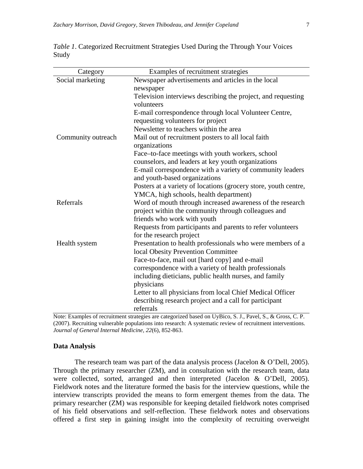| Category           | Examples of recruitment strategies                                                               |
|--------------------|--------------------------------------------------------------------------------------------------|
| Social marketing   | Newspaper advertisements and articles in the local                                               |
|                    | newspaper                                                                                        |
|                    | Television interviews describing the project, and requesting                                     |
|                    | volunteers                                                                                       |
|                    | E-mail correspondence through local Volunteer Centre,                                            |
|                    | requesting volunteers for project                                                                |
|                    | Newsletter to teachers within the area                                                           |
| Community outreach | Mail out of recruitment posters to all local faith                                               |
|                    | organizations                                                                                    |
|                    | Face-to-face meetings with youth workers, school                                                 |
|                    | counselors, and leaders at key youth organizations                                               |
|                    | E-mail correspondence with a variety of community leaders                                        |
|                    | and youth-based organizations                                                                    |
|                    | Posters at a variety of locations (grocery store, youth centre,                                  |
|                    | YMCA, high schools, health department)                                                           |
| Referrals          | Word of mouth through increased awareness of the research                                        |
|                    | project within the community through colleagues and                                              |
|                    | friends who work with youth                                                                      |
|                    | Requests from participants and parents to refer volunteers                                       |
|                    | for the research project                                                                         |
| Health system      | Presentation to health professionals who were members of a<br>local Obesity Prevention Committee |
|                    | Face-to-face, mail out [hard copy] and e-mail                                                    |
|                    | correspondence with a variety of health professionals                                            |
|                    | including dieticians, public health nurses, and family                                           |
|                    | physicians                                                                                       |
|                    | Letter to all physicians from local Chief Medical Officer                                        |
|                    | describing research project and a call for participant                                           |
|                    | referrals                                                                                        |
|                    | $\therefore$ 444 If $\mathbf{D}$ ; $\in$ $\mathbf{C}$ $\mathbf{I}$ $\mathbf{D}$ , 464            |

*Table 1*. Categorized Recruitment Strategies Used During the Through Your Voices Study

Note: Examples of recruitment strategies are categorized based on UyBico, S. J., Pavel, S., & Gross, C. P. (2007). Recruiting vulnerable populations into research: A systematic review of recruitment interventions. *Journal of General Internal Medicine, 22*(6), 852-863.

# **Data Analysis**

The research team was part of the data analysis process (Jacelon & O'Dell, 2005). Through the primary researcher (ZM), and in consultation with the research team, data were collected, sorted, arranged and then interpreted (Jacelon & O'Dell, 2005). Fieldwork notes and the literature formed the basis for the interview questions, while the interview transcripts provided the means to form emergent themes from the data. The primary researcher (ZM) was responsible for keeping detailed fieldwork notes comprised of his field observations and self-reflection. These fieldwork notes and observations offered a first step in gaining insight into the complexity of recruiting overweight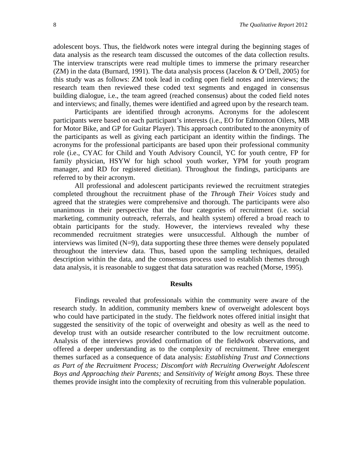adolescent boys. Thus, the fieldwork notes were integral during the beginning stages of data analysis as the research team discussed the outcomes of the data collection results. The interview transcripts were read multiple times to immerse the primary researcher  $(ZM)$  in the data (Burnard, 1991). The data analysis process (Jacelon & O'Dell, 2005) for this study was as follows: ZM took lead in coding open field notes and interviews; the research team then reviewed these coded text segments and engaged in consensus building dialogue, i.e., the team agreed (reached consensus) about the coded field notes and interviews; and finally, themes were identified and agreed upon by the research team.

Participants are identified through acronyms. Acronyms for the adolescent participants were based on each participant's interests (i.e., EO for Edmonton Oilers, MB for Motor Bike, and GP for Guitar Player). This approach contributed to the anonymity of the participants as well as giving each participant an identity within the findings. The acronyms for the professional participants are based upon their professional community role (i.e., CYAC for Child and Youth Advisory Council, YC for youth centre, FP for family physician, HSYW for high school youth worker, YPM for youth program manager, and RD for registered dietitian). Throughout the findings, participants are referred to by their acronym.

All professional and adolescent participants reviewed the recruitment strategies completed throughout the recruitment phase of the *Through Their Voices* study and agreed that the strategies were comprehensive and thorough. The participants were also unanimous in their perspective that the four categories of recruitment (i.e. social marketing, community outreach, referrals, and health system) offered a broad reach to obtain participants for the study. However, the interviews revealed why these recommended recruitment strategies were unsuccessful. Although the number of interviews was limited  $(N=9)$ , data supporting these three themes were densely populated throughout the interview data. Thus, based upon the sampling techniques, detailed description within the data, and the consensus process used to establish themes through data analysis, it is reasonable to suggest that data saturation was reached (Morse, 1995).

## **Results**

Findings revealed that professionals within the community were aware of the research study. In addition, community members knew of overweight adolescent boys who could have participated in the study. The fieldwork notes offered initial insight that suggested the sensitivity of the topic of overweight and obesity as well as the need to develop trust with an outside researcher contributed to the low recruitment outcome. Analysis of the interviews provided confirmation of the fieldwork observations, and offered a deeper understanding as to the complexity of recruitment. Three emergent themes surfaced as a consequence of data analysis: *Establishing Trust and Connections as Part of the Recruitment Process; Discomfort with Recruiting Overweight Adolescent Boys and Approaching their Parents;* and *Sensitivity of Weight among Boys.* These three themes provide insight into the complexity of recruiting from this vulnerable population.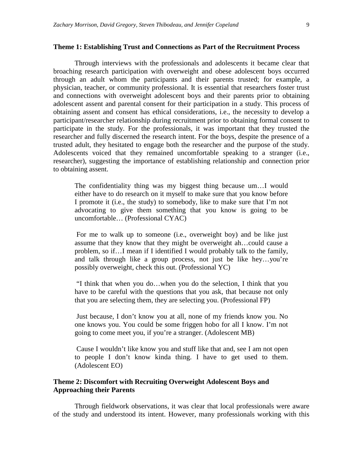## **Theme 1: Establishing Trust and Connections as Part of the Recruitment Process**

Through interviews with the professionals and adolescents it became clear that broaching research participation with overweight and obese adolescent boys occurred through an adult whom the participants and their parents trusted; for example, a physician, teacher, or community professional. It is essential that researchers foster trust and connections with overweight adolescent boys and their parents prior to obtaining adolescent assent and parental consent for their participation in a study. This process of obtaining assent and consent has ethical considerations, i.e., the necessity to develop a participant/researcher relationship during recruitment prior to obtaining formal consent to participate in the study. For the professionals, it was important that they trusted the researcher and fully discerned the research intent. For the boys, despite the presence of a trusted adult, they hesitated to engage both the researcher and the purpose of the study. Adolescents voiced that they remained uncomfortable speaking to a stranger (i.e., researcher), suggesting the importance of establishing relationship and connection prior to obtaining assent.

The confidentiality thing was my biggest thing because um…I would either have to do research on it myself to make sure that you know before I promote it (i.e., the study) to somebody, like to make sure that I'm not advocating to give them something that you know is going to be uncomfortable… (Professional CYAC)

For me to walk up to someone (i.e., overweight boy) and be like just assume that they know that they might be overweight ah…could cause a problem, so if…I mean if I identified I would probably talk to the family, and talk through like a group process, not just be like hey…you're possibly overweight, check this out. (Professional YC)

"I think that when you do…when you do the selection, I think that you have to be careful with the questions that you ask, that because not only that you are selecting them, they are selecting you. (Professional FP)

Just because, I don't know you at all, none of my friends know you. No one knows you. You could be some friggen hobo for all I know. I'm not going to come meet you, if you're a stranger. (Adolescent MB)

Cause I wouldn't like know you and stuff like that and, see I am not open to people I don't know kinda thing. I have to get used to them. (Adolescent EO)

# **Theme 2: Discomfort with Recruiting Overweight Adolescent Boys and Approaching their Parents**

Through fieldwork observations, it was clear that local professionals were aware of the study and understood its intent. However, many professionals working with this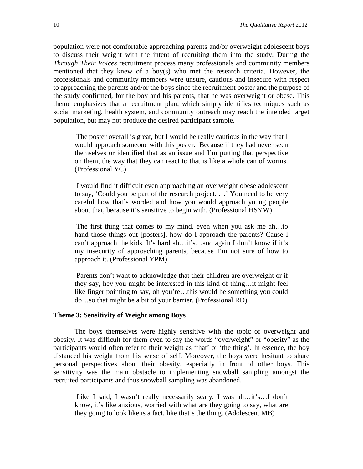population were not comfortable approaching parents and/or overweight adolescent boys to discuss their weight with the intent of recruiting them into the study. During the *Through Their Voices* recruitment process many professionals and community members mentioned that they knew of a boy(s) who met the research criteria. However, the professionals and community members were unsure, cautious and insecure with respect to approaching the parents and/or the boys since the recruitment poster and the purpose of the study confirmed, for the boy and his parents, that he was overweight or obese. This theme emphasizes that a recruitment plan, which simply identifies techniques such as social marketing, health system, and community outreach may reach the intended target population, but may not produce the desired participant sample.

The poster overall is great, but I would be really cautious in the way that I would approach someone with this poster. Because if they had never seen themselves or identified that as an issue and I'm putting that perspective on them, the way that they can react to that is like a whole can of worms. (Professional YC)

I would find it difficult even approaching an overweight obese adolescent to say, 'Could you be part of the research project. …' You need to be very careful how that's worded and how you would approach young people about that, because it's sensitive to begin with. (Professional HSYW)

The first thing that comes to my mind, even when you ask me ah…to hand those things out [posters], how do I approach the parents? Cause I can't approach the kids. It's hard ah…it's…and again I don't know if it's my insecurity of approaching parents, because I'm not sure of how to approach it. (Professional YPM)

Parents don't want to acknowledge that their children are overweight or if they say, hey you might be interested in this kind of thing…it might feel like finger pointing to say, oh you're…this would be something you could do…so that might be a bit of your barrier. (Professional RD)

#### **Theme 3: Sensitivity of Weight among Boys**

The boys themselves were highly sensitive with the topic of overweight and obesity. It was difficult for them even to say the words "overweight" or "obesity" as the participants would often refer to their weight as 'that' or 'the thing'. In essence, the boy distanced his weight from his sense of self. Moreover, the boys were hesitant to share personal perspectives about their obesity, especially in front of other boys. This sensitivity was the main obstacle to implementing snowball sampling amongst the recruited participants and thus snowball sampling was abandoned.

Like I said, I wasn't really necessarily scary, I was ah…it's…I don't know, it's like anxious, worried with what are they going to say, what are they going to look like is a fact, like that's the thing. (Adolescent MB)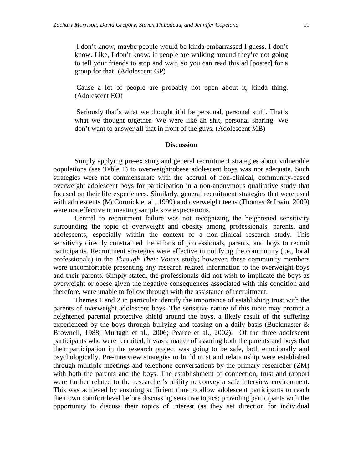I don't know, maybe people would be kinda embarrassed I guess, I don't know. Like, I don't know, if people are walking around they're not going to tell your friends to stop and wait, so you can read this ad [poster] for a group for that! (Adolescent GP)

Cause a lot of people are probably not open about it, kinda thing. (Adolescent EO)

Seriously that's what we thought it'd be personal, personal stuff. That's what we thought together. We were like ah shit, personal sharing. We don't want to answer all that in front of the guys. (Adolescent MB)

## **Discussion**

Simply applying pre-existing and general recruitment strategies about vulnerable populations (see Table 1) to overweight/obese adolescent boys was not adequate. Such strategies were not commensurate with the accrual of non-clinical, community-based overweight adolescent boys for participation in a non-anonymous qualitative study that focused on their life experiences. Similarly, general recruitment strategies that were used with adolescents (McCormick et al., 1999) and overweight teens (Thomas & Irwin, 2009) were not effective in meeting sample size expectations.

Central to recruitment failure was not recognizing the heightened sensitivity surrounding the topic of overweight and obesity among professionals, parents, and adolescents, especially within the context of a non-clinical research study. This sensitivity directly constrained the efforts of professionals, parents, and boys to recruit participants. Recruitment strategies were effective in notifying the community (i.e., local professionals) in the *Through Their Voices* study; however, these community members were uncomfortable presenting any research related information to the overweight boys and their parents. Simply stated, the professionals did not wish to implicate the boys as overweight or obese given the negative consequences associated with this condition and therefore, were unable to follow through with the assistance of recruitment.

Themes 1 and 2 in particular identify the importance of establishing trust with the parents of overweight adolescent boys. The sensitive nature of this topic may prompt a heightened parental protective shield around the boys, a likely result of the suffering experienced by the boys through bullying and teasing on a daily basis (Buckmaster  $\&$ Brownell, 1988; Murtagh et al., 2006; Pearce et al., 2002). Of the three adolescent participants who were recruited, it was a matter of assuring both the parents and boys that their participation in the research project was going to be safe, both emotionally and psychologically. Pre-interview strategies to build trust and relationship were established through multiple meetings and telephone conversations by the primary researcher (ZM) with both the parents and the boys. The establishment of connection, trust and rapport were further related to the researcher's ability to convey a safe interview environment. This was achieved by ensuring sufficient time to allow adolescent participants to reach their own comfort level before discussing sensitive topics; providing participants with the opportunity to discuss their topics of interest (as they set direction for individual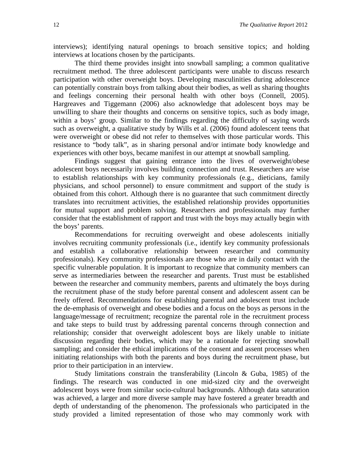interviews); identifying natural openings to broach sensitive topics; and holding interviews at locations chosen by the participants.

The third theme provides insight into snowball sampling; a common qualitative recruitment method. The three adolescent participants were unable to discuss research participation with other overweight boys. Developing masculinities during adolescence can potentially constrain boys from talking about their bodies, as well as sharing thoughts and feelings concerning their personal health with other boys (Connell, 2005). Hargreaves and Tiggemann (2006) also acknowledge that adolescent boys may be unwilling to share their thoughts and concerns on sensitive topics, such as body image, within a boys' group. Similar to the findings regarding the difficulty of saying words such as overweight, a qualitative study by Wills et al. (2006) found adolescent teens that were overweight or obese did not refer to themselves with those particular words. This resistance to "body talk", as in sharing personal and/or intimate body knowledge and experiences with other boys, became manifest in our attempt at snowball sampling.

Findings suggest that gaining entrance into the lives of overweight/obese adolescent boys necessarily involves building connection and trust. Researchers are wise to establish relationships with key community professionals (e.g., dieticians, family physicians, and school personnel) to ensure commitment and support of the study is obtained from this cohort. Although there is no guarantee that such commitment directly translates into recruitment activities, the established relationship provides opportunities for mutual support and problem solving. Researchers and professionals may further consider that the establishment of rapport and trust with the boys may actually begin with the boys' parents.

Recommendations for recruiting overweight and obese adolescents initially involves recruiting community professionals (i.e., identify key community professionals and establish a collaborative relationship between researcher and community professionals). Key community professionals are those who are in daily contact with the specific vulnerable population. It is important to recognize that community members can serve as intermediaries between the researcher and parents. Trust must be established between the researcher and community members, parents and ultimately the boys during the recruitment phase of the study before parental consent and adolescent assent can be freely offered. Recommendations for establishing parental and adolescent trust include the de-emphasis of overweight and obese bodies and a focus on the boys as persons in the language/message of recruitment; recognize the parental role in the recruitment process and take steps to build trust by addressing parental concerns through connection and relationship; consider that overweight adolescent boys are likely unable to initiate discussion regarding their bodies, which may be a rationale for rejecting snowball sampling; and consider the ethical implications of the consent and assent processes when initiating relationships with both the parents and boys during the recruitment phase, but prior to their participation in an interview.

Study limitations constrain the transferability (Lincoln & Guba, 1985) of the findings. The research was conducted in one mid-sized city and the overweight adolescent boys were from similar socio-cultural backgrounds. Although data saturation was achieved, a larger and more diverse sample may have fostered a greater breadth and depth of understanding of the phenomenon. The professionals who participated in the study provided a limited representation of those who may commonly work with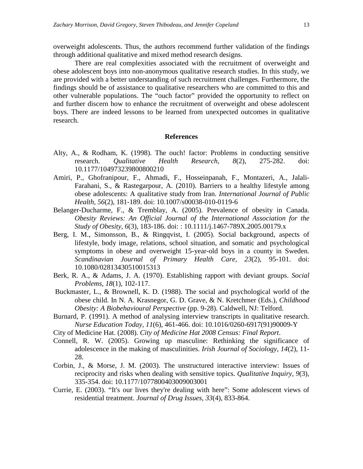overweight adolescents. Thus, the authors recommend further validation of the findings through additional qualitative and mixed method research designs.

There are real complexities associated with the recruitment of overweight and obese adolescent boys into non-anonymous qualitative research studies. In this study, we are provided with a better understanding of such recruitment challenges. Furthermore, the findings should be of assistance to qualitative researchers who are committed to this and other vulnerable populations. The "ouch factor" provided the opportunity to reflect on and further discern how to enhance the recruitment of overweight and obese adolescent boys. There are indeed lessons to be learned from unexpected outcomes in qualitative research.

## **References**

- Alty, A., & Rodham, K. (1998). The ouch! factor: Problems in conducting sensitive research. *Qualitative Health Research, 8*(2), 275-282. doi: 10.1177/104973239800800210
- Amiri, P., Ghofranipour, F., Ahmadi, F., Hosseinpanah, F., Montazeri, A., Jalali-Farahani, S., & Rastegarpour, A. (2010). Barriers to a healthy lifestyle among obese adolescents: A qualitative study from Iran. *International Journal of Public Health*, *56*(2), 181-189. doi: 10.1007/s00038-010-0119-6
- Belanger-Ducharme, F., & Tremblay, A. (2005). Prevalence of obesity in Canada. *Obesity Reviews: An Official Journal of the International Association for the Study of Obesity, 6*(3), 183-186. doi: : 10.1111/j.1467-789X.2005.00179.x
- Berg, I. M., Simonsson, B., & Ringqvist, I. (2005). Social background, aspects of lifestyle, body image, relations, school situation, and somatic and psychological symptoms in obese and overweight 15-year-old boys in a county in Sweden. *Scandinavian Journal of Primary Health Care, 23*(2), 95-101. doi: 10.1080/02813430510015313
- Berk, R. A., & Adams, J. A. (1970). Establishing rapport with deviant groups. *Social Problems, 18*(1), 102-117.
- Buckmaster, L., & Brownell, K. D. (1988). The social and psychological world of the obese child. In N. A. Krasnegor, G. D. Grave, & N. Kretchmer (Eds.), *Childhood Obesity: A Biobehavioural Perspective* (pp. 9-28). Caldwell, NJ: Telford.
- Burnard, P. (1991). A method of analysing interview transcripts in qualitative research. *Nurse Education Today, 11*(6), 461-466. doi: 10.1016/0260-6917(91)90009-Y
- City of Medicine Hat. (2008). *City of Medicine Hat 2008 Census: Final Report*.
- Connell, R. W. (2005). Growing up masculine: Rethinking the significance of adolescence in the making of masculinities. *Irish Journal of Sociology, 14*(2), 11- 28.
- Corbin, J., & Morse, J. M. (2003). The unstructured interactive interview: Issues of reciprocity and risks when dealing with sensitive topics. *Qualitative Inquiry, 9*(3), 335-354. doi: 10.1177/1077800403009003001
- Currie, E. (2003). "It's our lives they're dealing with here": Some adolescent views of residential treatment. *Journal of Drug Issues, 33*(4), 833-864.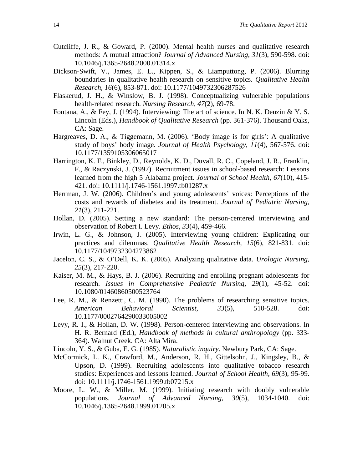- Cutcliffe, J. R., & Goward, P. (2000). Mental health nurses and qualitative research methods: A mutual attraction? *Journal of Advanced Nursing, 31*(3), 590-598. doi: 10.1046/j.1365-2648.2000.01314.x
- Dickson-Swift, V., James, E. L., Kippen, S., & Liamputtong, P. (2006). Blurring boundaries in qualitative health research on sensitive topics. *Qualitative Health Research, 16*(6), 853-871. doi: 10.1177/1049732306287526
- Flaskerud, J. H., & Winslow, B. J. (1998). Conceptualizing vulnerable populations health-related research. *Nursing Research, 47*(2), 69-78.
- Fontana, A., & Fey, J. (1994). Interviewing: The art of science. In N. K. Denzin & Y. S. Lincoln (Eds.), *Handbook of Qualitative Research* (pp. 361-376). Thousand Oaks, CA: Sage.
- Hargreaves, D. A., & Tiggemann, M. (2006). 'Body image is for girls': A qualitative study of boys' body image. *Journal of Health Psychology, 11*(4), 567-576. doi: 10.1177/1359105306065017
- Harrington, K. F., Binkley, D., Reynolds, K. D., Duvall, R. C., Copeland, J. R., Franklin, F., & Raczynski, J. (1997). Recruitment issues in school-based research: Lessons learned from the high 5 Alabama project. *Journal of School Health, 67*(10), 415- 421. doi: 10.1111/j.1746-1561.1997.tb01287.x
- Herrman, J. W. (2006). Children's and young adolescents' voices: Perceptions of the costs and rewards of diabetes and its treatment. *Journal of Pediatric Nursing, 21*(3), 211-221.
- Hollan, D. (2005). Setting a new standard: The person-centered interviewing and observation of Robert I. Levy. *Ethos, 33*(4), 459-466.
- Irwin, L. G., & Johnson, J. (2005). Interviewing young children: Explicating our practices and dilemmas. *Qualitative Health Research, 15*(6), 821-831. doi: 10.1177/1049732304273862
- Jacelon, C. S., & O'Dell, K. K. (2005). Analyzing qualitative data. *Urologic Nursing, 25*(3), 217-220.
- Kaiser, M. M., & Hays, B. J. (2006). Recruiting and enrolling pregnant adolescents for research. *Issues in Comprehensive Pediatric Nursing, 29*(1), 45-52. doi: 10.1080/01460860500523764
- Lee, R. M., & Renzetti, C. M. (1990). The problems of researching sensitive topics. *American Behavioral Scientist, 33*(5), 510-528. doi: 10.1177/0002764290033005002
- Levy, R. I., & Hollan, D. W. (1998). Person-centered interviewing and observations. In H. R. Bernard (Ed.), *Handbook of methods in cultural anthropology* (pp. 333- 364). Walnut Creek. CA: Alta Mira.
- Lincoln, Y. S., & Guba, E. G. (1985). *Naturalistic inquiry*. Newbury Park, CA: Sage.
- McCormick, L. K., Crawford, M., Anderson, R. H., Gittelsohn, J., Kingsley, B., & Upson, D. (1999). Recruiting adolescents into qualitative tobacco research studies: Experiences and lessons learned. *Journal of School Health, 69*(3), 95-99. doi: 10.1111/j.1746-1561.1999.tb07215.x
- Moore, L. W., & Miller, M. (1999). Initiating research with doubly vulnerable populations. *Journal of Advanced Nursing, 30*(5), 1034-1040. doi: 10.1046/j.1365-2648.1999.01205.x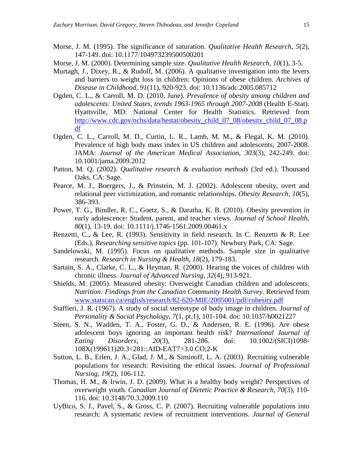- Morse, J. M. (1995). The significance of saturation. *Qualitative Health Research, 5*(2), 147-149. doi: 10.1177/104973239500500201
- Morse, J. M. (2000). Determining sample size. *Qualitative Health Research, 10*(1), 3-5.
- Murtagh, J., Dixey, R., & Rudolf, M. (2006). A qualitative investigation into the levers and barriers to weight loss in children: Opinions of obese children. *Archives of Disease in Childhood, 91*(11), 920-923. doi: 10.1136/adc.2005.085712
- Ogden, C. L., & Carroll, M. D. (2010, June). *Prevalence of obesity among children and adolescents: United States, trends 1963-1965 through 2007-2008* (Health E-Stat). Hyattsville, MD: National Center for Health Statistics. Retrieved from [http://www.cdc.gov/nchs/data/hestat/obesity\\_child\\_07\\_08/obesity\\_child\\_07\\_08.p](http://www.cdc.gov/nchs/data/hestat/obesity_child_07_08/obesity_child_07_08.pdf) [df](http://www.cdc.gov/nchs/data/hestat/obesity_child_07_08/obesity_child_07_08.pdf)
- Ogden, C. L., Carroll, M. D., Curtin, L. R., Lamb, M. M., & Flegal, K. M. (2010). Prevalence of high body mass index in US children and adolescents, 2007-2008. JAMA: *Journal of the American Medical Association, 303*(3), 242-249. doi: 10.1001/jama.2009.2012
- Patton, M. Q. (2002). *Qualitative research & evaluation methods* (3rd ed.). Thousand Oaks, CA: Sage.
- Pearce, M. J., Boergers, J., & Prinstein, M. J. (2002). Adolescent obesity, overt and relational peer victimization, and romantic relationships. *Obesity Research, 10*(5), 386-393.
- Power, T. G., Bindler, R. C., Goetz, S., & Daratha, K. B. (2010). Obesity prevention in early adolescence: Student, parent, and teacher views. *Journal of School Health, 80*(1), 13-19. doi: 10.1111/j.1746-1561.2009.00461.x
- Renzetti, C., & Lee, R. (1993). Sensitivity in field research. In C. Renzetti & R. Lee (Eds.), *Researching sensitive topics* (pp. 101-107). Newbury Park, CA: Sage.
- Sandelowski, M. (1995). Focus on qualitative methods. Sample size in qualitative research. *Research in Nursing & Health, 18*(2), 179-183.
- Sartain, S. A., Clarke, C. L., & Heyman, R. (2000). Hearing the voices of children with chronic illness. *Journal of Advanced Nursing, 32*(4), 913-921.
- Shields, M. (2005). Measured obesity: Overweight Canadian children and adolescents. *Nutrition: Findings from the Canadian Community Health Survey.* Retrieved from [www.statscan.ca/english/research/82-620-MIE/2005001/pdf/cobesity.pdf](http://www.statscan.ca/english/research/82-620-MIE/2005001/pdf/cobesity.pdf)
- Staffieri, J. R. (1967). A study of social stereotype of body image in children. *Journal of Personality & Social Psychology, 7*(1, pt.1), 101-104. doi: 10.1037/h0021227
- Steen, S. N., Wadden, T. A., Foster, G. D., & Andersen, R. E. (1996). Are obese adolescent boys ignoring an important health risk? *International Journal of Eating Disorders, 20*(3), 281-286. doi: 10.1002/(SICI)1098- 108X(199611)20:3<281::AID-EAT7>3.0.CO;2-K
- Sutton, L. B., Erlen, J. A., Glad, J. M., & Siminoff, L. A. (2003). Recruiting vulnerable populations for research: Revisiting the ethical issues. *Journal of Professional Nursing, 19*(2), 106-112.
- Thomas, H. M., & Irwin, J. D. (2009). What is a healthy body weight? Perspectives of overweight youth. *Canadian Journal of Dietetic Practice & Research, 70*(3), 110- 116. doi: 10.3148/70.3.2009.110
- UyBico, S. J., Pavel, S., & Gross, C. P. (2007). Recruiting vulnerable populations into research: A systematic review of recruitment interventions. *Journal of General*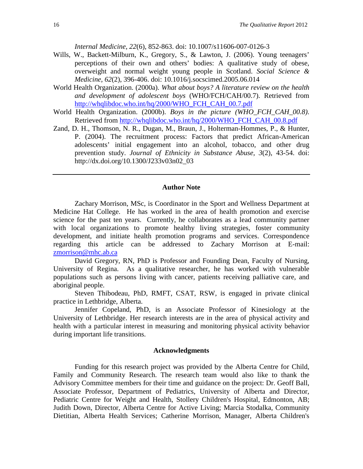*Internal Medicine, 22*(6), 852-863. doi: 10.1007/s11606-007-0126-3

- Wills, W., Backett-Milburn, K., Gregory, S., & Lawton, J. (2006). Young teenagers' perceptions of their own and others' bodies: A qualitative study of obese, overweight and normal weight young people in Scotland. *Social Science & Medicine, 62*(2), 396-406. doi: 10.1016/j.socscimed.2005.06.014
- World Health Organization. (2000a). *What about boys? A literature review on the health and development of adolescent boys* (WHO/FCH/CAH/00.7). Retrieved from [http://whqlibdoc.who.int/hq/2000/WHO\\_FCH\\_CAH\\_00.7.pdf](http://whqlibdoc.who.int/hq/2000/WHO_FCH_CAH_00.7.pdf)
- World Health Organization. (2000b). *Boys in the picture (WHO\_FCH\_CAH\_00.8)*. Retrieved from [http://whqlibdoc.who.int/hq/2000/WHO\\_FCH\\_CAH\\_00.8.pdf](http://whqlibdoc.who.int/hq/2000/WHO_FCH_CAH_00.8.pdf)
- Zand, D. H., Thomson, N. R., Dugan, M., Braun, J., Holterman-Hommes, P., & Hunter, P. (2004). The recruitment process: Factors that predict African-American adolescents' initial engagement into an alcohol, tobacco, and other drug prevention study. *Journal of Ethnicity in Substance Abuse, 3*(2), 43-54. doi: http://dx.doi.org/10.1300/J233v03n02\_03

#### **Author Note**

Zachary Morrison, MSc, is Coordinator in the Sport and Wellness Department at Medicine Hat College. He has worked in the area of health promotion and exercise science for the past ten years. Currently, he collaborates as a lead community partner with local organizations to promote healthy living strategies, foster community development, and initiate health promotion programs and services. Correspondence regarding this article can be addressed to Zachary Morrison at E-mail: [zmorrison@mhc.ab.ca](mailto:zmorrison@mhc.ab.ca)

David Gregory, RN, PhD is Professor and Founding Dean, Faculty of Nursing, University of Regina. As a qualitative researcher, he has worked with vulnerable populations such as persons living with cancer, patients receiving palliative care, and aboriginal people.

Steven Thibodeau, PhD, RMFT, CSAT, RSW, is engaged in private clinical practice in Lethbridge, Alberta.

Jennifer Copeland, PhD, is an Associate Professor of Kinesiology at the University of Lethbridge. Her research interests are in the area of physical activity and health with a particular interest in measuring and monitoring physical activity behavior during important life transitions.

#### **Acknowledgments**

Funding for this research project was provided by the Alberta Centre for Child, Family and Community Research. The research team would also like to thank the Advisory Committee members for their time and guidance on the project: Dr. Geoff Ball, Associate Professor, Department of Pediatrics, University of Alberta and Director, Pediatric Centre for Weight and Health, Stollery Children's Hospital, Edmonton, AB; Judith Down, Director, Alberta Centre for Active Living; Marcia Stodalka, Community Dietitian, Alberta Health Services; Catherine Morrison, Manager, Alberta Children's